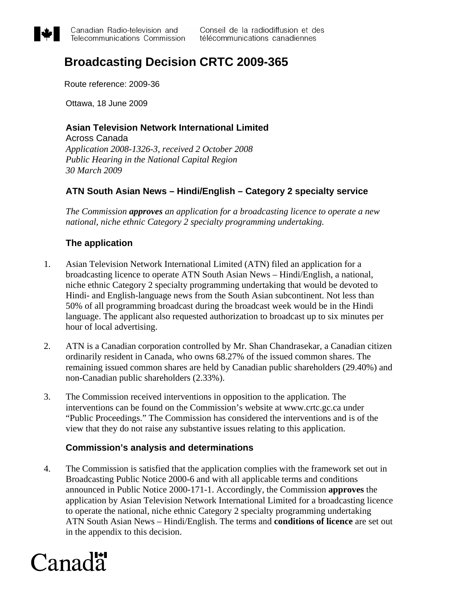

# **Broadcasting Decision CRTC 2009-365**

Route reference: 2009-36

Ottawa, 18 June 2009

## **Asian Television Network International Limited**

Across Canada *Application 2008-1326-3, received 2 October 2008 Public Hearing in the National Capital Region 30 March 2009* 

# **ATN South Asian News – Hindi/English – Category 2 specialty service**

*The Commission approves an application for a broadcasting licence to operate a new national, niche ethnic Category 2 specialty programming undertaking.* 

# **The application**

- 1. Asian Television Network International Limited (ATN) filed an application for a broadcasting licence to operate ATN South Asian News – Hindi/English, a national, niche ethnic Category 2 specialty programming undertaking that would be devoted to Hindi- and English-language news from the South Asian subcontinent. Not less than 50% of all programming broadcast during the broadcast week would be in the Hindi language. The applicant also requested authorization to broadcast up to six minutes per hour of local advertising.
- 2. ATN is a Canadian corporation controlled by Mr. Shan Chandrasekar, a Canadian citizen ordinarily resident in Canada, who owns 68.27% of the issued common shares. The remaining issued common shares are held by Canadian public shareholders (29.40%) and non-Canadian public shareholders (2.33%).
- 3. The Commission received interventions in opposition to the application. The interventions can be found on the Commission's website at www.crtc.gc.ca under "Public Proceedings." The Commission has considered the interventions and is of the view that they do not raise any substantive issues relating to this application.

#### **Commission's analysis and determinations**

4. The Commission is satisfied that the application complies with the framework set out in Broadcasting Public Notice 2000-6 and with all applicable terms and conditions announced in Public Notice 2000-171-1. Accordingly, the Commission **approves** the application by Asian Television Network International Limited for a broadcasting licence to operate the national, niche ethnic Category 2 specialty programming undertaking ATN South Asian News – Hindi/English. The terms and **conditions of licence** are set out in the appendix to this decision.

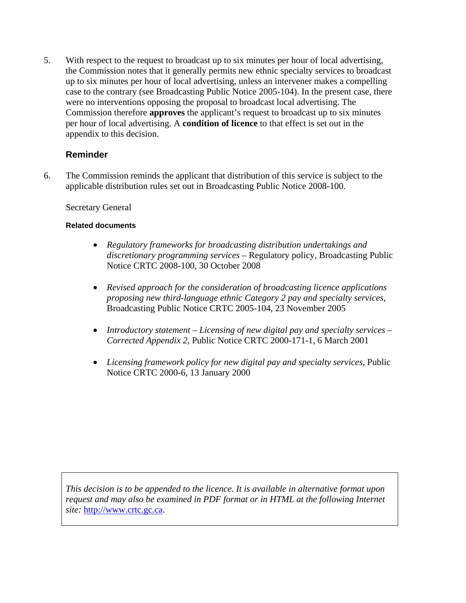5. With respect to the request to broadcast up to six minutes per hour of local advertising, the Commission notes that it generally permits new ethnic specialty services to broadcast up to six minutes per hour of local advertising, unless an intervener makes a compelling case to the contrary (see Broadcasting Public Notice 2005-104). In the present case, there were no interventions opposing the proposal to broadcast local advertising. The Commission therefore **approves** the applicant's request to broadcast up to six minutes per hour of local advertising. A **condition of licence** to that effect is set out in the appendix to this decision.

# **Reminder**

6. The Commission reminds the applicant that distribution of this service is subject to the applicable distribution rules set out in Broadcasting Public Notice 2008-100.

#### Secretary General

#### **Related documents**

- *Regulatory frameworks for broadcasting distribution undertakings and discretionary programming services –* Regulatory policy, Broadcasting Public Notice CRTC 2008-100, 30 October 2008
- *Revised approach for the consideration of broadcasting licence applications proposing new third-language ethnic Category 2 pay and specialty services*, Broadcasting Public Notice CRTC 2005-104, 23 November 2005
- *Introductory statement Licensing of new digital pay and specialty services Corrected Appendix 2*, Public Notice CRTC 2000-171-1, 6 March 2001
- *Licensing framework policy for new digital pay and specialty services*, Public Notice CRTC 2000-6, 13 January 2000

*This decision is to be appended to the licence. It is available in alternative format upon request and may also be examined in PDF format or in HTML at the following Internet site:* [http://www.crtc.gc.ca.](http://www.crtc.gc.ca/)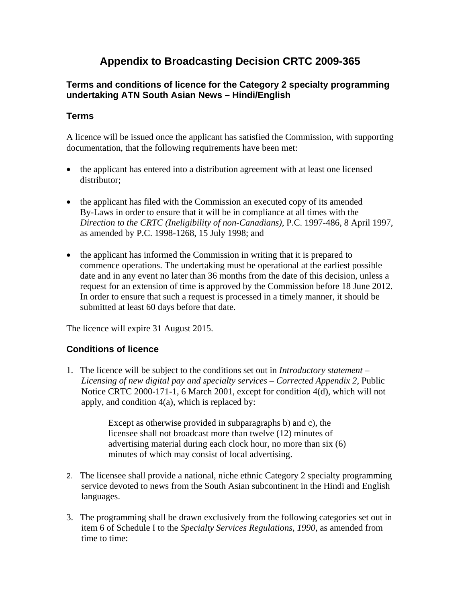# **Appendix to Broadcasting Decision CRTC 2009-365**

# **Terms and conditions of licence for the Category 2 specialty programming undertaking ATN South Asian News – Hindi/English**

# **Terms**

A licence will be issued once the applicant has satisfied the Commission, with supporting documentation, that the following requirements have been met:

- the applicant has entered into a distribution agreement with at least one licensed distributor;
- the applicant has filed with the Commission an executed copy of its amended By-Laws in order to ensure that it will be in compliance at all times with the *Direction to the CRTC (Ineligibility of non-Canadians)*, P.C. 1997-486, 8 April 1997, as amended by P.C. 1998-1268, 15 July 1998; and
- the applicant has informed the Commission in writing that it is prepared to commence operations. The undertaking must be operational at the earliest possible date and in any event no later than 36 months from the date of this decision, unless a request for an extension of time is approved by the Commission before 18 June 2012. In order to ensure that such a request is processed in a timely manner, it should be submitted at least 60 days before that date.

The licence will expire 31 August 2015.

#### **Conditions of licence**

1. The licence will be subject to the conditions set out in *Introductory statement – Licensing of new digital pay and specialty services – Corrected Appendix 2*, Public Notice CRTC 2000-171-1, 6 March 2001, except for condition 4(d), which will not apply, and condition 4(a), which is replaced by:

> Except as otherwise provided in subparagraphs b) and c), the licensee shall not broadcast more than twelve (12) minutes of advertising material during each clock hour, no more than six (6) minutes of which may consist of local advertising.

- 2. The licensee shall provide a national, niche ethnic Category 2 specialty programming service devoted to news from the South Asian subcontinent in the Hindi and English languages.
- 3. The programming shall be drawn exclusively from the following categories set out in item 6 of Schedule I to the *Specialty Services Regulations, 1990*, as amended from time to time: